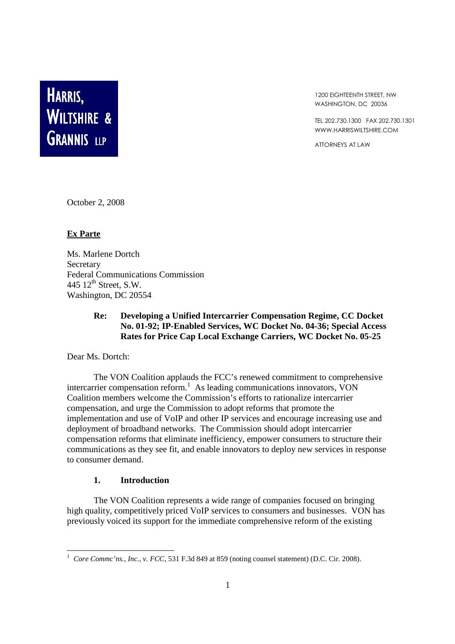

1200 EIGHTEENTH STREET, NW WASHINGTON, DC 20036

TEL 202.730.1300 FAX 202.730.1301 WWW.HARRISWILTSHIRE.COM

ATTORNEYS AT LAW

October 2, 2008

#### **Ex Parte**

Ms. Marlene Dortch **Secretary** Federal Communications Commission 445  $12<sup>th</sup>$  Street, S.W. Washington, DC 20554

# **Re: Developing a Unified Intercarrier Compensation Regime, CC Docket No. 01-92; IP-Enabled Services, WC Docket No. 04-36; Special Access Rates for Price Cap Local Exchange Carriers, WC Docket No. 05-25**

Dear Ms. Dortch:

The VON Coalition applauds the FCC's renewed commitment to comprehensive intercarrier compensation reform.<sup>1</sup> As leading communications innovators, VON Coalition members welcome the Commission's efforts to rationalize intercarrier compensation, and urge the Commission to adopt reforms that promote the implementation and use of VoIP and other IP services and encourage increasing use and deployment of broadband networks. The Commission should adopt intercarrier compensation reforms that eliminate inefficiency, empower consumers to structure their communications as they see fit, and enable innovators to deploy new services in response to consumer demand.

### **1. Introduction**

The VON Coalition represents a wide range of companies focused on bringing high quality, competitively priced VoIP services to consumers and businesses. VON has previously voiced its support for the immediate comprehensive reform of the existing

<sup>&</sup>lt;sup>1</sup> *Core Commc'ns., Inc., v. FCC*, 531 F.3d 849 at 859 (noting counsel statement) (D.C. Cir. 2008).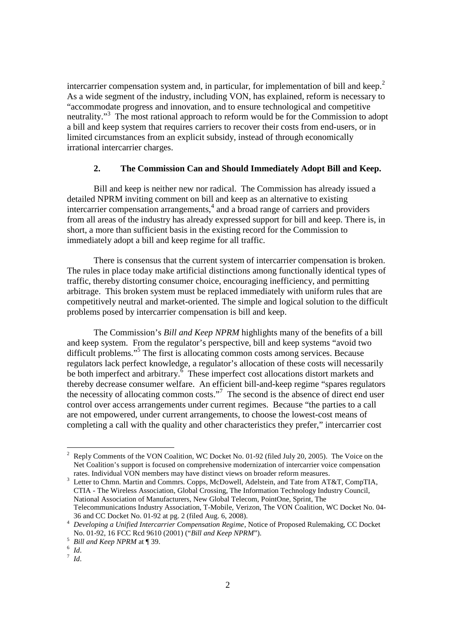intercarrier compensation system and, in particular, for implementation of bill and keep.<sup>2</sup> As a wide segment of the industry, including VON, has explained, reform is necessary to "accommodate progress and innovation, and to ensure technological and competitive neutrality."<sup>3</sup> The most rational approach to reform would be for the Commission to adopt a bill and keep system that requires carriers to recover their costs from end-users, or in limited circumstances from an explicit subsidy, instead of through economically irrational intercarrier charges.

### **2. The Commission Can and Should Immediately Adopt Bill and Keep.**

Bill and keep is neither new nor radical. The Commission has already issued a detailed NPRM inviting comment on bill and keep as an alternative to existing intercarrier compensation arrangements,<sup>4</sup> and a broad range of carriers and providers from all areas of the industry has already expressed support for bill and keep. There is, in short, a more than sufficient basis in the existing record for the Commission to immediately adopt a bill and keep regime for all traffic.

There is consensus that the current system of intercarrier compensation is broken. The rules in place today make artificial distinctions among functionally identical types of traffic, thereby distorting consumer choice, encouraging inefficiency, and permitting arbitrage. This broken system must be replaced immediately with uniform rules that are competitively neutral and market-oriented. The simple and logical solution to the difficult problems posed by intercarrier compensation is bill and keep.

The Commission's *Bill and Keep NPRM* highlights many of the benefits of a bill and keep system. From the regulator's perspective, bill and keep systems "avoid two difficult problems."<sup>5</sup> The first is allocating common costs among services. Because regulators lack perfect knowledge, a regulator's allocation of these costs will necessarily be both imperfect and arbitrary.  $\overline{6}$  These imperfect cost allocations distort markets and thereby decrease consumer welfare. An efficient bill-and-keep regime "spares regulators the necessity of allocating common costs."<sup>7</sup> The second is the absence of direct end user control over access arrangements under current regimes. Because "the parties to a call are not empowered, under current arrangements, to choose the lowest-cost means of completing a call with the quality and other characteristics they prefer," intercarrier cost

<sup>&</sup>lt;sup>2</sup> Reply Comments of the VON Coalition, WC Docket No. 01-92 (filed July 20, 2005). The Voice on the Net Coalition's support is focused on comprehensive modernization of intercarrier voice compensation rates. Individual VON members may have distinct views on broader reform measures.

<sup>&</sup>lt;sup>3</sup> Letter to Chmn. Martin and Commrs. Copps, McDowell, Adelstein, and Tate from AT&T, CompTIA, CTIA - The Wireless Association, Global Crossing, The Information Technology Industry Council, National Association of Manufacturers, New Global Telecom, PointOne, Sprint, The Telecommunications Industry Association, T-Mobile, Verizon, The VON Coalition, WC Docket No. 04- 36 and CC Docket No. 01-92 at pg. 2 (filed Aug. 6, 2008).

<sup>4</sup> *Developing a Unified Intercarrier Compensation Regime*, Notice of Proposed Rulemaking, CC Docket No. 01-92, 16 FCC Rcd 9610 (2001) ("*Bill and Keep NPRM*").

<sup>5</sup> *Bill and Keep NPRM* at ¶ 39.

<sup>6</sup> *Id*.

<sup>7</sup> *Id*.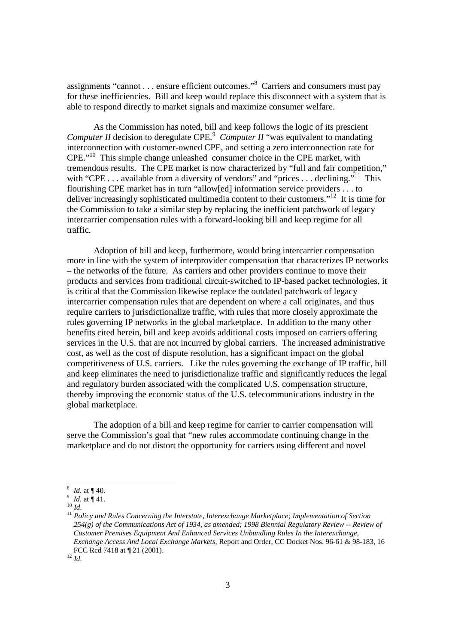assignments "cannot . . . ensure efficient outcomes."<sup>8</sup> Carriers and consumers must pay for these inefficiencies. Bill and keep would replace this disconnect with a system that is able to respond directly to market signals and maximize consumer welfare.

As the Commission has noted, bill and keep follows the logic of its prescient *Computer II* decision to deregulate CPE.<sup>9</sup> *Computer II* "was equivalent to mandating interconnection with customer-owned CPE, and setting a zero interconnection rate for CPE."<sup>10</sup> This simple change unleashed consumer choice in the CPE market, with tremendous results. The CPE market is now characterized by "full and fair competition," with "CPE . . . available from a diversity of vendors" and "prices . . . declining."<sup>11</sup> This flourishing CPE market has in turn "allow[ed] information service providers . . . to deliver increasingly sophisticated multimedia content to their customers."<sup>12</sup> It is time for the Commission to take a similar step by replacing the inefficient patchwork of legacy intercarrier compensation rules with a forward-looking bill and keep regime for all traffic.

Adoption of bill and keep, furthermore, would bring intercarrier compensation more in line with the system of interprovider compensation that characterizes IP networks – the networks of the future. As carriers and other providers continue to move their products and services from traditional circuit-switched to IP-based packet technologies, it is critical that the Commission likewise replace the outdated patchwork of legacy intercarrier compensation rules that are dependent on where a call originates, and thus require carriers to jurisdictionalize traffic, with rules that more closely approximate the rules governing IP networks in the global marketplace. In addition to the many other benefits cited herein, bill and keep avoids additional costs imposed on carriers offering services in the U.S. that are not incurred by global carriers. The increased administrative cost, as well as the cost of dispute resolution, has a significant impact on the global competitiveness of U.S. carriers. Like the rules governing the exchange of IP traffic, bill and keep eliminates the need to jurisdictionalize traffic and significantly reduces the legal and regulatory burden associated with the complicated U.S. compensation structure, thereby improving the economic status of the U.S. telecommunications industry in the global marketplace.

The adoption of a bill and keep regime for carrier to carrier compensation will serve the Commission's goal that "new rules accommodate continuing change in the marketplace and do not distort the opportunity for carriers using different and novel

<sup>8</sup> *Id*. at ¶ 40. 9 *Id*. at ¶ 41.

 $^{10}$   $\mathrm{I}$ *d*.

<sup>11</sup> *Policy and Rules Concerning the Interstate, Interexchange Marketplace; Implementation of Section 254(g) of the Communications Act of 1934, as amended; 1998 Biennial Regulatory Review -- Review of Customer Premises Equipment And Enhanced Services Unbundling Rules In the Interexchange, Exchange Access And Local Exchange Markets*, Report and Order, CC Docket Nos. 96-61 & 98-183, 16 FCC Rcd 7418 at ¶ 21 (2001).

<sup>12</sup> *Id*.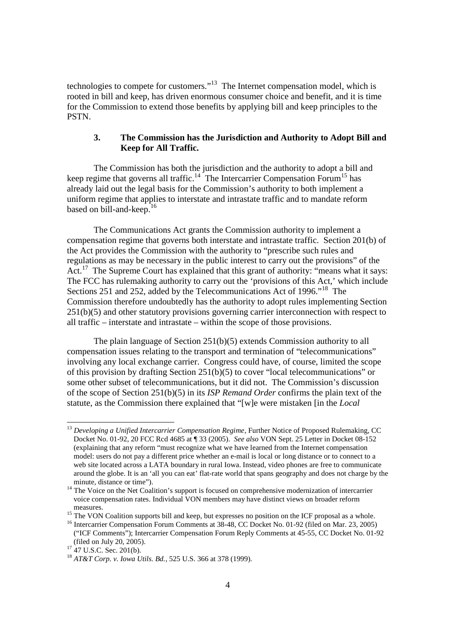technologies to compete for customers."<sup>13</sup> The Internet compensation model, which is rooted in bill and keep, has driven enormous consumer choice and benefit, and it is time for the Commission to extend those benefits by applying bill and keep principles to the PSTN.

# **3. The Commission has the Jurisdiction and Authority to Adopt Bill and Keep for All Traffic.**

The Commission has both the jurisdiction and the authority to adopt a bill and keep regime that governs all traffic.<sup>14</sup> The Intercarrier Compensation Forum<sup>15</sup> has already laid out the legal basis for the Commission's authority to both implement a uniform regime that applies to interstate and intrastate traffic and to mandate reform based on bill-and-keep.<sup>16</sup>

The Communications Act grants the Commission authority to implement a compensation regime that governs both interstate and intrastate traffic. Section 201(b) of the Act provides the Commission with the authority to "prescribe such rules and regulations as may be necessary in the public interest to carry out the provisions" of the Act.<sup>17</sup> The Supreme Court has explained that this grant of authority: "means what it says: The FCC has rulemaking authority to carry out the 'provisions of this Act,' which include Sections 251 and 252, added by the Telecommunications Act of 1996."<sup>18</sup> The Commission therefore undoubtedly has the authority to adopt rules implementing Section 251(b)(5) and other statutory provisions governing carrier interconnection with respect to all traffic – interstate and intrastate – within the scope of those provisions.

The plain language of Section 251(b)(5) extends Commission authority to all compensation issues relating to the transport and termination of "telecommunications" involving any local exchange carrier. Congress could have, of course, limited the scope of this provision by drafting Section 251(b)(5) to cover "local telecommunications" or some other subset of telecommunications, but it did not. The Commission's discussion of the scope of Section 251(b)(5) in its *ISP Remand Order* confirms the plain text of the statute, as the Commission there explained that "[w]e were mistaken [in the *Local*

<sup>&</sup>lt;sup>13</sup> Developing a Unified Intercarrier Compensation Regime, Further Notice of Proposed Rulemaking, CC Docket No. 01-92, 20 FCC Rcd 4685 at ¶ 33 (2005). *See also* VON Sept. 25 Letter in Docket 08-152 (explaining that any reform "must recognize what we have learned from the Internet compensation model: users do not pay a different price whether an e-mail is local or long distance or to connect to a web site located across a LATA boundary in rural Iowa. Instead, video phones are free to communicate around the globe. It is an 'all you can eat' flat-rate world that spans geography and does not charge by the minute, distance or time").

<sup>&</sup>lt;sup>14</sup> The Voice on the Net Coalition's support is focused on comprehensive modernization of intercarrier voice compensation rates. Individual VON members may have distinct views on broader reform measures.

<sup>&</sup>lt;sup>15</sup> The VON Coalition supports bill and keep, but expresses no position on the ICF proposal as a whole.

<sup>&</sup>lt;sup>16</sup> Intercarrier Compensation Forum Comments at 38-48, CC Docket No. 01-92 (filed on Mar. 23, 2005) ("ICF Comments"); Intercarrier Compensation Forum Reply Comments at 45-55, CC Docket No. 01-92 (filed on July 20, 2005).

 $17$  47 U.S.C. Sec. 201(b).

<sup>18</sup> *AT&T Corp. v. Iowa Utils. Bd.*, 525 U.S. 366 at 378 (1999).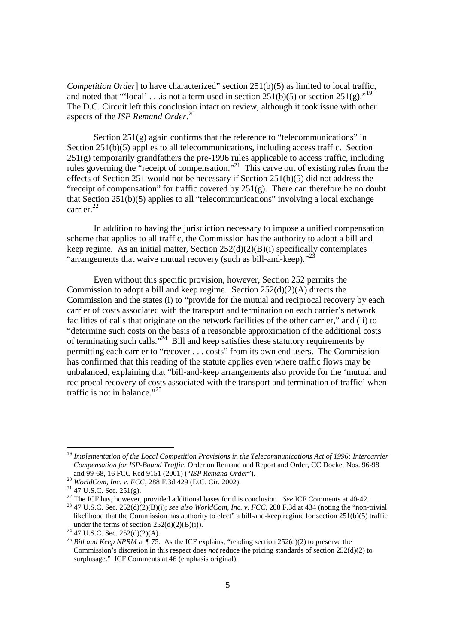*Competition Order*] to have characterized" section 251(b)(5) as limited to local traffic, and noted that "'local' . . .is not a term used in section 251(b)(5) or section 251(g)."<sup>19</sup> The D.C. Circuit left this conclusion intact on review, although it took issue with other aspects of the *ISP Remand Order*. 20

Section  $251(g)$  again confirms that the reference to "telecommunications" in Section 251(b)(5) applies to all telecommunications, including access traffic. Section 251(g) temporarily grandfathers the pre-1996 rules applicable to access traffic, including rules governing the "receipt of compensation."<sup>21</sup> This carve out of existing rules from the effects of Section 251 would not be necessary if Section 251(b)(5) did not address the "receipt of compensation" for traffic covered by  $251(g)$ . There can therefore be no doubt that Section 251(b)(5) applies to all "telecommunications" involving a local exchange carrier.<sup>22</sup>

In addition to having the jurisdiction necessary to impose a unified compensation scheme that applies to all traffic, the Commission has the authority to adopt a bill and keep regime. As an initial matter, Section  $252(d)(2)(B)(i)$  specifically contemplates "arrangements that waive mutual recovery (such as bill-and-keep)." $^{23}$ 

Even without this specific provision, however, Section 252 permits the Commission to adopt a bill and keep regime. Section  $252(d)(2)(A)$  directs the Commission and the states (i) to "provide for the mutual and reciprocal recovery by each carrier of costs associated with the transport and termination on each carrier's network facilities of calls that originate on the network facilities of the other carrier," and (ii) to "determine such costs on the basis of a reasonable approximation of the additional costs of terminating such calls."<sup>24</sup> Bill and keep satisfies these statutory requirements by permitting each carrier to "recover . . . costs" from its own end users. The Commission has confirmed that this reading of the statute applies even where traffic flows may be unbalanced, explaining that "bill-and-keep arrangements also provide for the 'mutual and reciprocal recovery of costs associated with the transport and termination of traffic' when traffic is not in balance." $25$ 

<sup>19</sup> *Implementation of the Local Competition Provisions in the Telecommunications Act of 1996; Intercarrier Compensation for ISP-Bound Traffic*, Order on Remand and Report and Order, CC Docket Nos. 96-98 and 99-68, 16 FCC Rcd 9151 (2001) ("*ISP Remand Order*").

<sup>20</sup> *WorldCom, Inc. v. FCC*, 288 F.3d 429 (D.C. Cir. 2002).

 $21$  47 U.S.C. Sec. 251(g).

<sup>22</sup> The ICF has, however, provided additional bases for this conclusion. *See* ICF Comments at 40-42.

<sup>&</sup>lt;sup>23</sup> 47 U.S.C. Sec. 252(d)(2)(B)(i); *see also WorldCom, Inc. v. FCC*, 288 F.3d at 434 (noting the "non-trivial" likelihood that the Commission has authority to elect" a bill-and-keep regime for section 251(b)(5) traffic under the terms of section  $252(d)(2)(B)(i)$ .

 $24$  47 U.S.C. Sec. 252(d)(2)(A).

<sup>&</sup>lt;sup>25</sup> *Bill and Keep NPRM* at ¶ 75. As the ICF explains, "reading section 252(d)(2) to preserve the Commission's discretion in this respect does *not* reduce the pricing standards of section 252(d)(2) to surplusage." ICF Comments at 46 (emphasis original).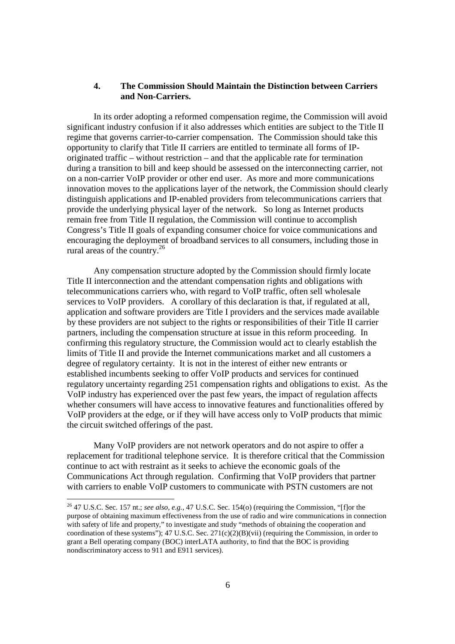### **4. The Commission Should Maintain the Distinction between Carriers and Non-Carriers.**

In its order adopting a reformed compensation regime, the Commission will avoid significant industry confusion if it also addresses which entities are subject to the Title II regime that governs carrier-to-carrier compensation. The Commission should take this opportunity to clarify that Title II carriers are entitled to terminate all forms of IPoriginated traffic – without restriction – and that the applicable rate for termination during a transition to bill and keep should be assessed on the interconnecting carrier, not on a non-carrier VoIP provider or other end user. As more and more communications innovation moves to the applications layer of the network, the Commission should clearly distinguish applications and IP-enabled providers from telecommunications carriers that provide the underlying physical layer of the network. So long as Internet products remain free from Title II regulation, the Commission will continue to accomplish Congress's Title II goals of expanding consumer choice for voice communications and encouraging the deployment of broadband services to all consumers, including those in rural areas of the country.<sup>26</sup>

Any compensation structure adopted by the Commission should firmly locate Title II interconnection and the attendant compensation rights and obligations with telecommunications carriers who, with regard to VoIP traffic, often sell wholesale services to VoIP providers. A corollary of this declaration is that, if regulated at all, application and software providers are Title I providers and the services made available by these providers are not subject to the rights or responsibilities of their Title II carrier partners, including the compensation structure at issue in this reform proceeding. In confirming this regulatory structure, the Commission would act to clearly establish the limits of Title II and provide the Internet communications market and all customers a degree of regulatory certainty. It is not in the interest of either new entrants or established incumbents seeking to offer VoIP products and services for continued regulatory uncertainty regarding 251 compensation rights and obligations to exist. As the VoIP industry has experienced over the past few years, the impact of regulation affects whether consumers will have access to innovative features and functionalities offered by VoIP providers at the edge, or if they will have access only to VoIP products that mimic the circuit switched offerings of the past.

Many VoIP providers are not network operators and do not aspire to offer a replacement for traditional telephone service. It is therefore critical that the Commission continue to act with restraint as it seeks to achieve the economic goals of the Communications Act through regulation. Confirming that VoIP providers that partner with carriers to enable VoIP customers to communicate with PSTN customers are not

<sup>26</sup> 47 U.S.C. Sec. 157 nt.; *see also, e.g.*, 47 U.S.C. Sec. 154(o) (requiring the Commission, "[f]or the purpose of obtaining maximum effectiveness from the use of radio and wire communications in connection with safety of life and property," to investigate and study "methods of obtaining the cooperation and coordination of these systems"); 47 U.S.C. Sec.  $271(c)(2)(B)(vii)$  (requiring the Commission, in order to grant a Bell operating company (BOC) interLATA authority, to find that the BOC is providing nondiscriminatory access to 911 and E911 services).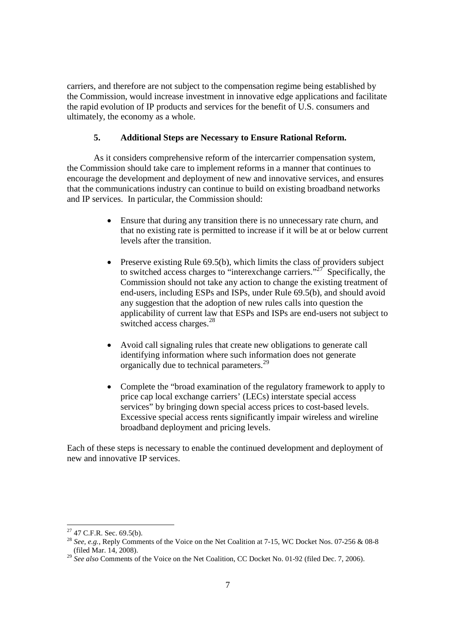carriers, and therefore are not subject to the compensation regime being established by the Commission, would increase investment in innovative edge applications and facilitate the rapid evolution of IP products and services for the benefit of U.S. consumers and ultimately, the economy as a whole.

### **5. Additional Steps are Necessary to Ensure Rational Reform.**

As it considers comprehensive reform of the intercarrier compensation system, the Commission should take care to implement reforms in a manner that continues to encourage the development and deployment of new and innovative services, and ensures that the communications industry can continue to build on existing broadband networks and IP services. In particular, the Commission should:

- Ensure that during any transition there is no unnecessary rate churn, and that no existing rate is permitted to increase if it will be at or below current levels after the transition.
- $\bullet$  Preserve existing Rule 69.5(b), which limits the class of providers subject to switched access charges to "interexchange carriers."<sup>27</sup> Specifically, the Commission should not take any action to change the existing treatment of end-users, including ESPs and ISPs, under Rule 69.5(b), and should avoid any suggestion that the adoption of new rules calls into question the applicability of current law that ESPs and ISPs are end-users not subject to switched access charges.<sup>28</sup>
- Avoid call signaling rules that create new obligations to generate call identifying information where such information does not generate organically due to technical parameters.<sup>29</sup>
- Complete the "broad examination of the regulatory framework to apply to price cap local exchange carriers' (LECs) interstate special access services" by bringing down special access prices to cost-based levels. Excessive special access rents significantly impair wireless and wireline broadband deployment and pricing levels.

Each of these steps is necessary to enable the continued development and deployment of new and innovative IP services.

 $27$  47 C.F.R. Sec. 69.5(b).

<sup>&</sup>lt;sup>28</sup> *See, e.g.*, Reply Comments of the Voice on the Net Coalition at 7-15, WC Docket Nos. 07-256 & 08-8 (filed Mar. 14, 2008).

<sup>&</sup>lt;sup>29</sup> *See also* Comments of the Voice on the Net Coalition, CC Docket No. 01-92 (filed Dec. 7, 2006).